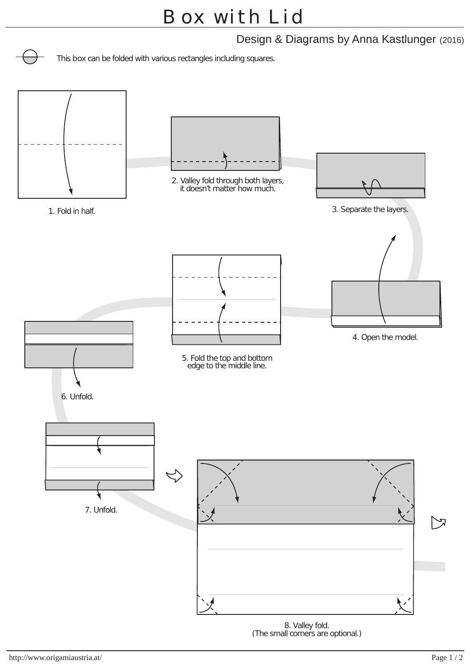Design & Diagrams by Anna Kastlunger (2016)

This box can be folded with various rectangles including squares.



<sup>(</sup>The small corners are optional.)